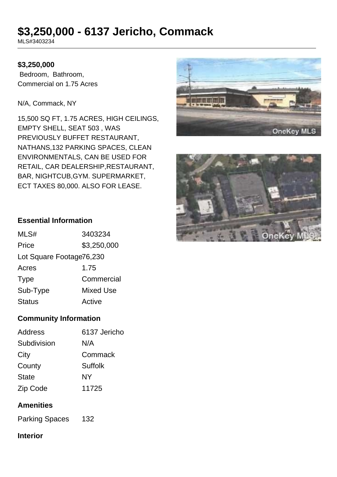# **\$3,250,000 - 6137 Jericho, Commack**

MLS#3403234

#### **\$3,250,000**

 Bedroom, Bathroom, Commercial on 1.75 Acres

N/A, Commack, NY

15,500 SQ FT, 1.75 ACRES, HIGH CEILINGS, EMPTY SHELL, SEAT 503 , WAS PREVIOUSLY BUFFET RESTAURANT, NATHANS,132 PARKING SPACES, CLEAN ENVIRONMENTALS, CAN BE USED FOR RETAIL, CAR DEALERSHIP,RESTAURANT, BAR, NIGHTCUB,GYM. SUPERMARKET, ECT TAXES 80,000. ALSO FOR LEASE.





#### **Essential Information**

| MLS#                     | 3403234     |
|--------------------------|-------------|
| Price                    | \$3,250,000 |
| Lot Square Footage76,230 |             |
| Acres                    | 1.75        |
| <b>Type</b>              | Commercial  |
| Sub-Type                 | Mixed Use   |
| <b>Status</b>            | Active      |

#### **Community Information**

#### **Amenities**

Parking Spaces 132

## **Interior**